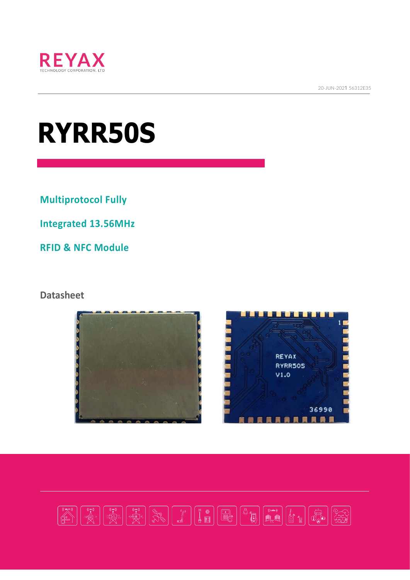

20-JUN-2021 56312E35

# **RYRR50S**

**Multiprotocol Fully** 

**Integrated 13.56MHz** 

**RFID & NFC Module**

#### **Datasheet**



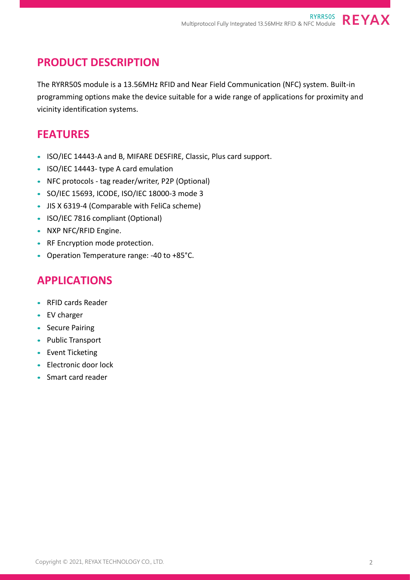# **PRODUCT DESCRIPTION**

The RYRR50S module is a 13.56MHz RFID and Near Field Communication (NFC) system. Built-in programming options make the device suitable for a wide range of applications for proximity and vicinity identification systems.

## **FEATURES**

- ISO/IEC 14443-A and B, MIFARE DESFIRE, Classic, Plus card support.
- ISO/IEC 14443- type A card emulation
- NFC protocols tag reader/writer, P2P (Optional)
- SO/IEC 15693, ICODE, ISO/IEC 18000-3 mode 3
- JIS X 6319-4 (Comparable with FeliCa scheme)
- ISO/IEC 7816 compliant (Optional)
- NXP NFC/RFID Engine.
- RF Encryption mode protection.
- Operation Temperature range: -40 to +85°C.

## **APPLICATIONS**

- RFID cards Reader
- EV charger
- Secure Pairing
- Public Transport
- Event Ticketing
- Electronic door lock
- Smart card reader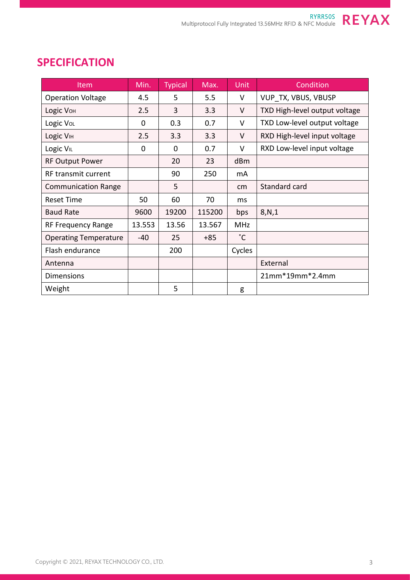| Item                         | Min.   | <b>Typical</b> | Max.   | <b>Unit</b> | Condition                     |  |
|------------------------------|--------|----------------|--------|-------------|-------------------------------|--|
| <b>Operation Voltage</b>     | 4.5    | 5              | 5.5    | V           | VUP TX, VBUS, VBUSP           |  |
| Logic V <sub>OH</sub>        | 2.5    | 3              | 3.3    | V           | TXD High-level output voltage |  |
| Logic Vol                    | 0      | 0.3            | 0.7    | V           | TXD Low-level output voltage  |  |
| Logic VIH                    | 2.5    | 3.3            | 3.3    | V           | RXD High-level input voltage  |  |
| Logic V <sub>IL</sub>        | 0      | 0              | 0.7    | V           | RXD Low-level input voltage   |  |
| <b>RF Output Power</b>       |        | 20             | 23     | dBm         |                               |  |
| RF transmit current          |        | 90             | 250    | mA          |                               |  |
| <b>Communication Range</b>   |        | 5              |        | cm          | Standard card                 |  |
| <b>Reset Time</b>            | 50     | 60             | 70     | ms          |                               |  |
| <b>Baud Rate</b>             | 9600   | 19200          | 115200 | bps         | 8, N, 1                       |  |
| RF Frequency Range           | 13.553 | 13.56          | 13.567 | <b>MHz</b>  |                               |  |
| <b>Operating Temperature</b> | -40    | 25             | $+85$  | $\degree$ C |                               |  |
| Flash endurance              |        | 200            |        | Cycles      |                               |  |
| Antenna                      |        |                |        |             | External                      |  |
| <b>Dimensions</b>            |        |                |        |             | 21mm*19mm*2.4mm               |  |
| Weight                       |        | 5              |        | g           |                               |  |

# **SPECIFICATION**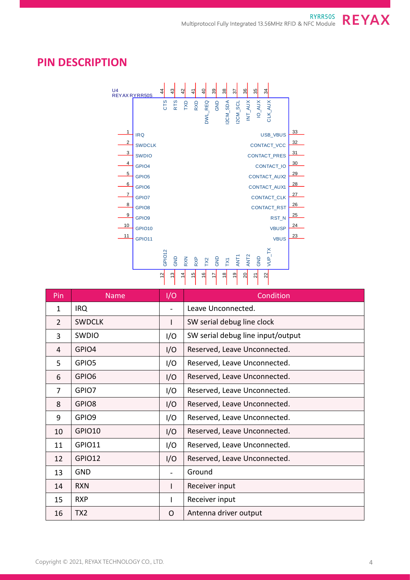#### **PIN DESCRIPTION**



| Pin            | <b>Name</b>       | I/O                      | Condition                         |  |  |
|----------------|-------------------|--------------------------|-----------------------------------|--|--|
| $\mathbf{1}$   | <b>IRQ</b>        | $\overline{\phantom{a}}$ | Leave Unconnected.                |  |  |
| $\overline{2}$ | <b>SWDCLK</b>     | $\mathsf{l}$             | SW serial debug line clock        |  |  |
| 3              | <b>SWDIO</b>      | I/O                      | SW serial debug line input/output |  |  |
| 4              | GPIO4             | I/O                      | Reserved, Leave Unconnected.      |  |  |
| 5              | GPIO5             | I/O                      | Reserved, Leave Unconnected.      |  |  |
| 6              | GPIO6             | I/O                      | Reserved, Leave Unconnected.      |  |  |
| $\overline{7}$ | GPIO7             | I/O                      | Reserved, Leave Unconnected.      |  |  |
| 8              | GPIO <sub>8</sub> | I/O                      | Reserved, Leave Unconnected.      |  |  |
| 9              | GPIO9             | I/O                      | Reserved, Leave Unconnected.      |  |  |
| 10             | GPIO10            | I/O                      | Reserved, Leave Unconnected.      |  |  |
| 11             | <b>GPIO11</b>     | I/O                      | Reserved, Leave Unconnected.      |  |  |
| 12             | GPIO12            | I/O                      | Reserved, Leave Unconnected.      |  |  |
| 13             | <b>GND</b>        | $\overline{\phantom{a}}$ | Ground                            |  |  |
| 14             | <b>RXN</b>        | $\mathsf{I}$             | Receiver input                    |  |  |
| 15             | <b>RXP</b>        | I                        | Receiver input                    |  |  |
| 16             | TX <sub>2</sub>   | O                        | Antenna driver output             |  |  |

Copyright © 2021, REYAX TECHNOLOGY CO., LTD.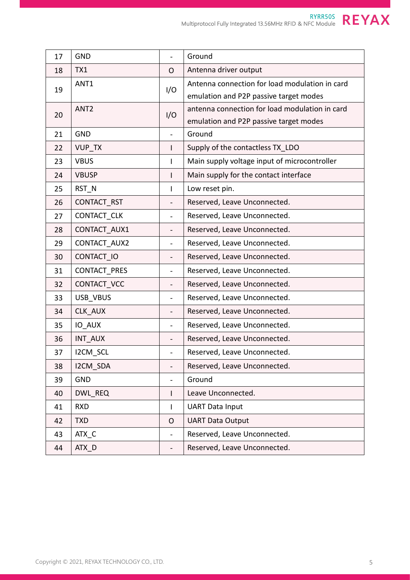| 17 | <b>GND</b>       | $\overline{\phantom{a}}$     | Ground                                         |  |  |
|----|------------------|------------------------------|------------------------------------------------|--|--|
| 18 | TX1              | $\mathsf{O}$                 | Antenna driver output                          |  |  |
| 19 | ANT1             | I/O                          | Antenna connection for load modulation in card |  |  |
|    |                  |                              | emulation and P2P passive target modes         |  |  |
| 20 | ANT <sub>2</sub> | I/O                          | antenna connection for load modulation in card |  |  |
|    |                  |                              | emulation and P2P passive target modes         |  |  |
| 21 | <b>GND</b>       | $\overline{\phantom{a}}$     | Ground                                         |  |  |
| 22 | <b>VUP TX</b>    | I                            | Supply of the contactless TX_LDO               |  |  |
| 23 | <b>VBUS</b>      | I                            | Main supply voltage input of microcontroller   |  |  |
| 24 | <b>VBUSP</b>     | I                            | Main supply for the contact interface          |  |  |
| 25 | RST_N            | I                            | Low reset pin.                                 |  |  |
| 26 | CONTACT_RST      | $\qquad \qquad -$            | Reserved, Leave Unconnected.                   |  |  |
| 27 | CONTACT CLK      | $\overline{\phantom{0}}$     | Reserved, Leave Unconnected.                   |  |  |
| 28 | CONTACT AUX1     | $\overline{\phantom{0}}$     | Reserved, Leave Unconnected.                   |  |  |
| 29 | CONTACT AUX2     | $\qquad \qquad \blacksquare$ | Reserved, Leave Unconnected.                   |  |  |
| 30 | CONTACT IO       | $\overline{\phantom{0}}$     | Reserved, Leave Unconnected.                   |  |  |
| 31 | CONTACT_PRES     | $\overline{\phantom{0}}$     | Reserved, Leave Unconnected.                   |  |  |
| 32 | CONTACT_VCC      | $\overline{a}$               | Reserved, Leave Unconnected.                   |  |  |
| 33 | USB_VBUS         | $\qquad \qquad \blacksquare$ | Reserved, Leave Unconnected.                   |  |  |
| 34 | CLK AUX          | $\qquad \qquad \blacksquare$ | Reserved, Leave Unconnected.                   |  |  |
| 35 | IO AUX           | $\overline{\phantom{0}}$     | Reserved, Leave Unconnected.                   |  |  |
| 36 | INT_AUX          | $\qquad \qquad \blacksquare$ | Reserved, Leave Unconnected.                   |  |  |
| 37 | <b>I2CM SCL</b>  | $\qquad \qquad -$            | Reserved, Leave Unconnected.                   |  |  |
| 38 | I2CM SDA         | $\overline{a}$               | Reserved, Leave Unconnected.                   |  |  |
| 39 | <b>GND</b>       | $\qquad \qquad -$            | Ground                                         |  |  |
| 40 | DWL REQ          | I                            | Leave Unconnected.                             |  |  |
| 41 | <b>RXD</b>       | I                            | <b>UART Data Input</b>                         |  |  |
| 42 | <b>TXD</b>       | $\mathsf{O}$                 | <b>UART Data Output</b>                        |  |  |
| 43 | ATX C            | $\overline{a}$               | Reserved, Leave Unconnected.                   |  |  |
| 44 | ATX D            | $\qquad \qquad -$            | Reserved, Leave Unconnected.                   |  |  |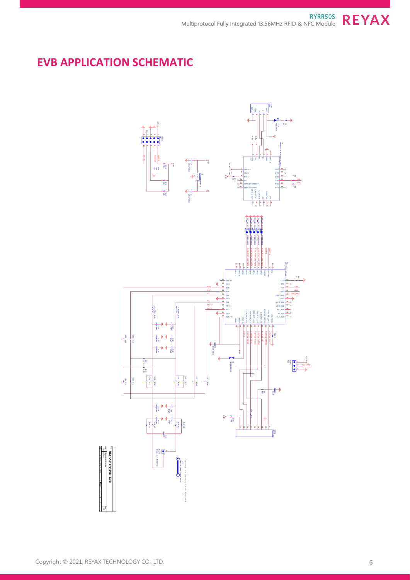# **EVB APPLICATION SCHEMATIC**

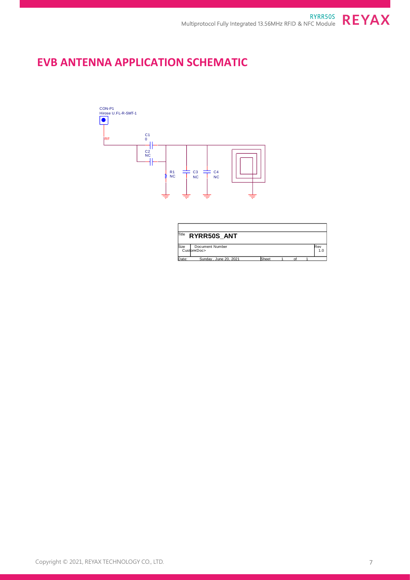# **EVB ANTENNA APPLICATION SCHEMATIC**



| Title | RYRR50S ANT                    |       |  |            |
|-------|--------------------------------|-------|--|------------|
| Size  | Document Number<br>Custom Doc> |       |  | Rev<br>1.0 |
| Date: | Sunday, June 20, 2021          | Sheet |  |            |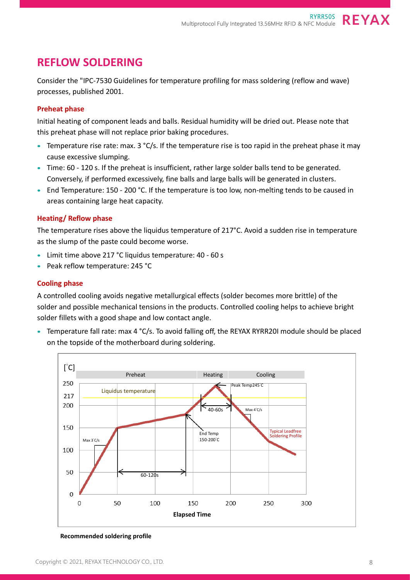### **REFLOW SOLDERING**

Consider the "IPC-7530 Guidelines for temperature profiling for mass soldering (reflow and wave) processes, published 2001.

#### **Preheat phase**

Initial heating of component leads and balls. Residual humidity will be dried out. Please note that this preheat phase will not replace prior baking procedures.

- Temperature rise rate: max. 3 °C/s. If the temperature rise is too rapid in the preheat phase it may cause excessive slumping.
- Time: 60 120 s. If the preheat is insufficient, rather large solder balls tend to be generated. Conversely, if performed excessively, fine balls and large balls will be generated in clusters.
- End Temperature: 150 200 °C. If the temperature is too low, non-melting tends to be caused in areas containing large heat capacity.

#### **Heating/ Reflow phase**

The temperature rises above the liquidus temperature of 217°C. Avoid a sudden rise in temperature as the slump of the paste could become worse.

- Limit time above 217 °C liquidus temperature: 40 60 s
- Peak reflow temperature: 245 °C

#### **Cooling phase**

A controlled cooling avoids negative metallurgical effects (solder becomes more brittle) of the solder and possible mechanical tensions in the products. Controlled cooling helps to achieve bright solder fillets with a good shape and low contact angle.

• Temperature fall rate: max 4 °C/s. To avoid falling off, the REYAX RYRR20I module should be placed on the topside of the motherboard during soldering.



**Recommended soldering profile**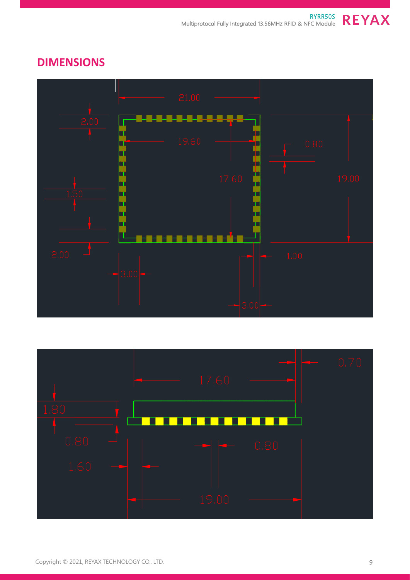## **DIMENSIONS**



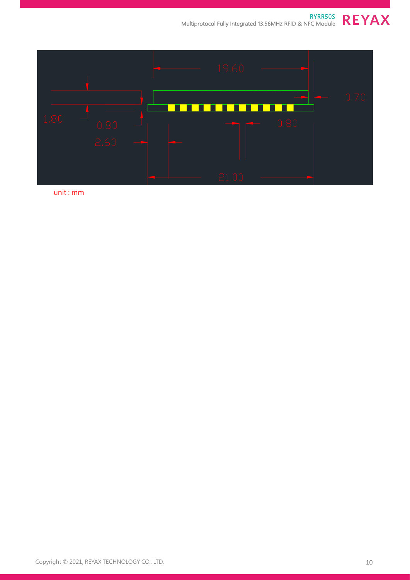



unit : mm